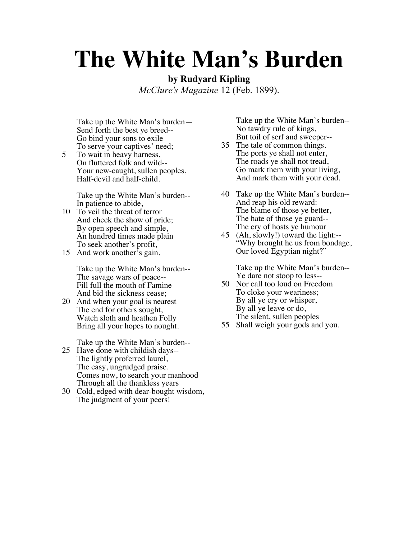## **The White Man's Burden**

**by Rudyard Kipling**

*McClure's Magazine* 12 (Feb. 1899).

Take up the White Man's burden— Send forth the best ye breed-- Go bind your sons to exile To serve your captives' need;

5 To wait in heavy harness, On fluttered folk and wild-- Your new-caught, sullen peoples, Half-devil and half-child.

> Take up the White Man's burden-- In patience to abide,

- 10 To veil the threat of terror And check the show of pride; By open speech and simple, An hundred times made plain To seek another's profit,
- 15 And work another's gain.

Take up the White Man's burden-- The savage wars of peace-- Fill full the mouth of Famine And bid the sickness cease;

20 And when your goal is nearest The end for others sought, Watch sloth and heathen Folly Bring all your hopes to nought.

Take up the White Man's burden--

- 25 Have done with childish days-- The lightly proferred laurel, The easy, ungrudged praise. Comes now, to search your manhood Through all the thankless years
- 30 Cold, edged with dear-bought wisdom, The judgment of your peers!

Take up the White Man's burden-- No tawdry rule of kings, But toil of serf and sweeper--

- 35 The tale of common things. The ports ye shall not enter, The roads ye shall not tread, Go mark them with your living, And mark them with your dead.
- 40 Take up the White Man's burden-- And reap his old reward: The blame of those ye better, The hate of those ye guard-- The cry of hosts ye humour
- 45 (Ah, slowly!) toward the light:-- "Why brought he us from bondage, Our loved Egyptian night?"

Take up the White Man's burden-- Ye dare not stoop to less--

- 50 Nor call too loud on Freedom To cloke your weariness; By all ye cry or whisper, By all ye leave or do, The silent, sullen peoples
- 55 Shall weigh your gods and you.